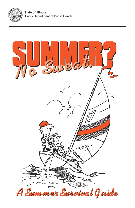**State of Illinois** Illinois Department of Public Health

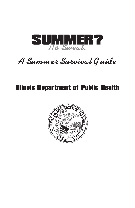

*A Summer Survival G uide*

# Illinois Department of Public health

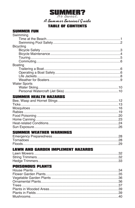

A Summer Survival Guide

### **TABLE OF CONTENTS**

#### **SUMMER FUN**  $C$ wimming

| SWINNING            |  |
|---------------------|--|
|                     |  |
|                     |  |
| <b>Bicycling</b>    |  |
|                     |  |
|                     |  |
|                     |  |
|                     |  |
| <b>Boating</b>      |  |
|                     |  |
|                     |  |
|                     |  |
|                     |  |
| <b>Water Sports</b> |  |
|                     |  |
|                     |  |
|                     |  |

#### **SUMMER HEALTH HAZARDS**

#### **SUMMER WEATHER WARNINGS**

#### **LAWN AND GARDEN IMPLEMENT HAZARDS**

#### **POISONOUS PLANTS**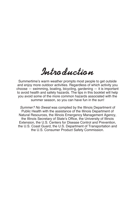# *Introduction*

Summertime's warm weather prompts most people to get outside and enjoy more outdoor activities. Regardless of which activity you choose — swimming, boating, bicycling, gardening — it is important to avoid health and safety hazards. The tips in this booklet will help you avoid some of the more common hazards associated with the summer season, so you can have fun in the sun!

Summer? No Sweat was compiled by the Illinois Department of Public Health with the assistance of the Illinois Department of Natural Resources, the Illinois Emergency Management Agency, the Illinois Secretary of State's Office, the University of Illinois Extension, the U.S. Centers for Disease Control and Prevention, the U.S. Coast Guard, the U.S. Department of Transportation and the U.S. Consumer Product Safety Commission.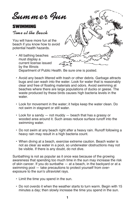*Summer Fun*

# SWIMMING

*Time at the Beach*

You will have more fun at the beach if you know how to avoid potential health hazards.

- All bathing beaches must display a current license issued by the Illinois Department of Public Health. Be sure one is posted.
- Avoid any beach littered with trash or other debris. Garbage attracts bugs and can wash into the water. Look for water that is reasonably clear and free of floating materials and odors. Avoid swimming at beaches where there are large populations of ducks or geese. The waste produced by these birds causes high bacteria levels in the water.
- Look for movement in the water; it helps keep the water clean. Do not swim in stagnant or still water.
- Look for a sandy not muddy beach that has a grassy or wooded area around it. Such areas reduce surface runoff into the swimming water.
- Do not swim at any beach right after a heavy rain. Runoff following a heavy rain may result in a high bacteria count.
- When diving at a beach, exercise extreme caution. Beach water is not as clear as water in a pool, so underwater obstructions may not be visible. If there is any doubt, do not dive.

Sunbathing is not as popular as it once was because of the growing awareness that spending too much time in the sun may increase the risk of skin cancer. If you do sunbathe — at a beach, in the backyard or at a swimming pool — take precautions to protect yourself from overexposure to the sun's ultraviolet rays.

- Limit the time you spend in the sun.
- Do not overdo it when the weather starts to turn warm. Begin with 15 minutes a day; then slowly increase the time you spend in the sun.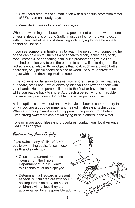- Use liberal amounts of suntan lotion with a high sun-protection factor (SPF), even on cloudy days.
- Wear dark glasses to protect your eyes.

Whether swimming at a beach or at a pool, do not enter the water alone unless a lifeguard is on duty. Sadly, most deaths from drowning occur within a few feet of safety. A drowning victim trying to breathe usually cannot call for help.

If you see someone in trouble, try to reach the person with something he or she can hold on to, such as a shepherd's crook, jacket, belt, stick, rope, water ski, oar or fishing pole. A life preserver ring with a line attached enables you to pull the person to safety. If a life ring or a life jacket is not available, throw objects that float, such as a plastic bottle, spare tire, ball, picnic cooler or piece of wood. Be sure to throw the object within the drowning victim's reach.

If the victim is too far away to assist from shore, use a log, air mattress, surfboard, small boat, raft or anything else you can row or paddle with your hands. Help the person climb onto the float or have him hold on while you paddle back to shore. Approach a person who is in trouble in the water very cautiously. Do not let the victim pull you under.

A last option is to swim out and tow the victim back to shore, but try this only if you are a good swimmer and trained in lifesaving techniques. When swimming toward a victim, approach the person from behind. Even strong swimmers can drown trying to help others in the water.

To learn more about lifesaving procedures, contact your local American Red Cross chapter.

*Swimming Pool Safety*

If you swim in any of Illinois' 3,500 public swimming pools, follow these health and safety tips.

- Check for a current operating license from the Illinois Department of Public Health; this license must be displayed.
- Determine if a lifeguard is present, especially if children are with you. If no lifeguard is on duty, do not let children swim unless they are accompanied by a responsible adult who

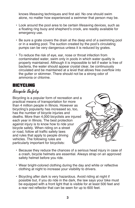knows lifesaving techniques and first aid. No one should swim alone, no matter how experienced a swimmer that person may be.

- Look around the pool area to be certain lifesaving devices, such as a floating ring buoy and shepherd's crook, are readily available for emergency use.
- Be sure a grate covers the drain at the deep end of a swimming pool or in a wading pool. The suction created by the pool's circulating pumps can be very dangerous unless it is reduced by grates.
- To reduce the risk of eye, ear, nose or throat infection from contaminated water, swim only in pools in which water quality is properly maintained. Although it is impossible to tell if water is free of bacteria, the water should appear crystal clear, be continuously circulated and be maintained at a level that allows free overflow into the gutter or skimmer. There should not be a strong odor of ammonia or chlorine.

## BICYCLING

# *Bicycle Safety*

Bicycling is a popular form of recreation and a practical means of transportation for more than 4 million people in Illinois. However as bicycling's popularity has increased so, too, has the number of bicycle injuries and deaths. More than 4,000 bicyclists are injured each year in Illinois. The best protection against injury is to know how to ride your bicycle safely. When riding on a street or road, follow all traffic safety laws and rules that apply to people driving vehicles. The following rules are particularly important for bicyclists:



- Because they reduce the chances of a serious head injury in case of a crash, bicycle helmets are essential. Always strap on an approved safety helmet before you ride.
- Wear bright-colored clothing during the day and white or reflective clothing at night to increase your visibility to drivers.
- Bicycling after dark is very hazardous. Avoid riding at night if possible but, if you do ride in the dark, the law says your bike must be equipped with a front light that is visible for at least 500 feet and a rear red reflector that can be seen for up to 600 feet.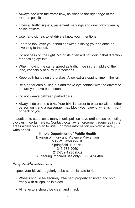- Always ride with the traffic flow, as close to the right edge of the road as possible.
- Obey all traffic signals, pavement markings and directions given by police officers.
- Use hand signals to let drivers know your intentions.
- Learn to look over your shoulder without losing your balance or swerving to the left.
- Do not pass on the right. Motorists often will not look in that direction for passing cyclists.
- When moving the same speed as traffic, ride in the middle of the lane, especially at busy intersections.
- Keep both hands on the brakes. Allow extra stopping time in the rain.
- Be alert for cars pulling out and make eye contact with the drivers to ensure you have been seen.
- Do not weave between parked cars.
- Always ride one to a bike. Your bike is harder to balance with another person on it and a passenger may block your view of what is in front or back of you.

In addition to state laws, many municipalities have ordinances restricting bicycles in certain areas. Contact local law enforcement agencies in the areas where you plan to ride. For more information on bicycle safety, write or call —

#### **Illinois Department of Public Health**

Division of Injury and Violence Prevention 535 W. Jefferson St. Springfield, IL 62761 217-785-2060 217-782-1235 (fax) TTY (hearing impaired use only) 800-547-0466

# *Bicycle Maintenance*

Inspect your bicycle regularly to be sure it is safe to ride.

- Wheels should be securely attached, properly adjusted and spin freely with all spokes in place.
- All reflectors should be clean and intact.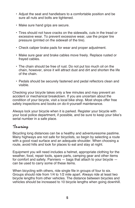- Adjust the seat and handlebars to a comfortable position and be sure all nuts and bolts are tightened.
- Make sure hand grips are secure.
- Tires should not have cracks on the sidewalls, cuts in the tread or excessive wear. To prevent excessive wear, use the proper tire pressure (printed on the sidewall of the tire).
- Check caliper brake pads for wear and proper adjustment.
- Make sure gear and brake cables move freely. Replace rusted or frayed cables.
- The chain should be free of rust. Do not put too much oil on the chain, however, since it will attract dust and dirt and shorten the life of the chain.
- Pedals should be securely fastened and pedal reflectors clean and visible.

Checking your bicycle takes only a few minutes and may prevent an accident or mechanical breakdown. If you are uncertain about the condition of your bicycle, visit a local bike shop. Most shops offer free safety inspections and books on do-it-yourself maintenance.

Always lock your bicycle when it is parked. Register your bicycle with your local police department, if possible, and be sure to keep your bike's serial number in a safe place.

# *Touring*

Bicycling long distances can be a healthy and adventuresome pastime. Many highways are not safe for bicyclists, so begin by selecting a route with a good road surface and an adequate shoulder. When choosing a route, avoid hills and look for places to eat and stay at night.

Equipment you will need includes a helmet, appropriate clothing for the weather, food, repair tools, spare parts, camping gear and other items for comfort and safety. Panniers — bags that attach to your bicycle can be used to carry some of these items.

When bicycling with others, ride single file in groups of four to six. Groups should ride from 1/4 to 1/2 mile apart. Always ride at least two bicycle lengths from other vehicles. The distance between bicycles and vehicles should be increased to 10 bicycle lengths when going downhill.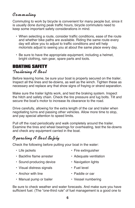# *Commuting*

Commuting to work by bicycle is convenient for many people but, since it is usually done during peak traffic hours, bicycle commuters need to keep some important safety considerations in mind.

- When selecting a route, consider traffic conditions, ease of the route and whether bike paths are available. Riding the same route every day will allow you to adjust to traffic conditions and will help motorists adjust to seeing you at about the same place every day.
- Be sure to have the appropriate equipment, including a helmet, bright clothing, rain gear, spare parts and tools.

# BoATING SAFETY

### *Trailering A Bo at*

Before leaving home, be sure your boat is properly secured on the trailer. Inspect all the lines and tie-downs, as well as the winch. Tighten these as necessary and replace any that show signs of fraying or strand separation.

Make sure the trailer lights work, and test the braking system. Inspect the hitch and safety chain. Check the tire pressure and lug bolts. Tilt and secure the boat's motor to increase its clearance to the road.

Drive carefully, allowing for the extra length of the car and trailer when negotiating turns and passing other vehicles. Allow more time to stop, and pay special attention to speed limits.

Pull off the road periodically and walk completely around the trailer. Examine the tires and wheel bearings for overheating, test the tie-downs and check any equipment carried in the boat.

# *Operating A Bo at Safely*

Check the following before putting your boat in the water:

- 
- Backfire flame arrester Adequate ventilation
- Sound-producing device Navigation lights
- Visual distress signals Fuel level
- Anchor with line **•** Paddle or oar
- Manual pump or bailer Vessel numbering
- Life jackets Fire extinguisher
	-
	-
	-
	-
	-

Be sure to check weather and water forecasts. And make sure you have sufficient fuel. (The "one-third rule" of fuel management is a good one to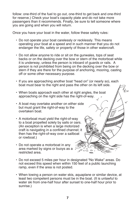follow: one-third of the fuel to go out, one-third to get back and one-third for reserve.) Check your boat's capacity plate and do not take more passengers than it recommends. Finally, be sure to tell someone where you are going and when you will return.

Once you have your boat in the water, follow these safety rules:

- Do not operate your boat carelessly or recklessly. This means operating your boat at a speed and in such manner that you do not endanger the life, safety or property of those in other watercraft.
- Do not allow anyone to ride or sit on the gunwales, tops of seat backs or on the decking over the bow or stern of the motorboat while it is underway, unless the person is inboard of guards or rails. A person is not prohibited from being on the decking over the bow or stern if they are there for the purpose of anchoring, mooring, casting off or some other necessary purpose.
- If you are approaching another boat "head on" (or nearly so), each boat must bear to the right and pass the other on its left side.

 $\mathbb Z$ 

- When boats approach each other at right angles, the boat approaching on the right side has the right-of-way.
- A boat may overtake another on either side but must grant the right-of-way to the overtaken boat.
- A motorboat must yield the right-of-way to a boat propelled solely by sails or oars. (An exception is when a large motorized craft is navigating in a confined channel; it then has the right-of-way over a sailboat or rowboat.)
- Do not operate a motorboat in any area marked by signs or buoys as a restricted area.
- Do not exceed 5 miles per hour in designated "No Wake" areas. Do not exceed this speed when within 150 feet of a public launching ramp, even if the area is not posted.
- When towing a person on water skis, aquaplane or similar device, at least two competent persons must be in the boat. (It is unlawful to water ski from one-half hour after sunset to one-half hour prior to sunrise.)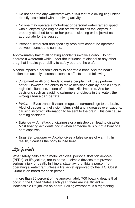- Do not operate any watercraft within 150 feet of a diving flag unless directly associated with the diving activity.
- No one may operate a motorboat or personal watercraft equipped with a lanyard type engine cut-off switch unless the lanyard is properly attached to his or her person, clothing or life jacket as appropriate for the vessel.
- Personal watercraft and specialty prop craft cannot be operated between sunset and sunrise.

Approximately half of all boating accidents involve alcohol. Do not operate a watercraft while under the influence of alcohol or any other drug that impairs your ability to safely operate the craft.

Alcohol impairs a person's ability to operate a boat. And the boat's motion can actually increase alcohol's effects on the following:

- Judgment Alcohol tends to make people think they perform better. However, the ability to make decisions quickly, particularly in high-risk situations, is one of the first skills impaired. And for decisions such as avoiding swimmers or objects in the water, **the wrong choice can be fatal.**
- Vision Eyes transmit visual images of surroundings to the brain. Alcohol causes tunnel vision, blurs sight and increases eye fixations, causing incorrect information to be sent to the brain. This can cause boating accidents.
- Balance An attack of dizziness or a misstep can lead to disaster. Most boating accidents occur when someone falls out of a boat or a boat capsizes.
- Body Temperature Alcohol gives a false sense of warmth. In reality, it causes the body to lose heat.

# *Life Jackets*

What safety belts are to motor vehicles, personal flotation devices (PFDs), or life jackets, are to boats — simple devices that prevent serious injury or death. In Illinois, state law prohibits a person from operating a watercraft unless a life jacket approved by the U.S. Coast Guard is on board for each person.

In more than 80 percent of the approximately 700 boating deaths that occur in the United States each year, there are insufficient or inaccessible life jackets on board. Falling overboard is a frightening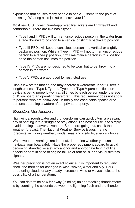experience that causes many people to panic — some to the point of drowning. Wearing a life jacket can save your life.

Most new U.S. Coast Guard-approved life jackets are lightweight and comfortable. There are five basic types:

- Type I and II PFDs will turn an unconscious person in the water from a face downward position to a vertical or slightly backward position.
- Type III PFDs will keep a conscious person in a vertical or slightly backward position. While a Type III PFD will not turn an unconscious person to a face-up position, it will maintain a person in this position once the person assumes the position.
- Type IV PFDs are not designed to be worn but to be thrown to a person in the water.
- Type V PFDs are approved for restricted use.

Illinois law states that no one may operate a watercraft under 26 feet in length unless a Type I, Type II, Type III or Type V personal flotation device is being properly worn at all times by each person under the age of 13 on board an operating watercraft. This requirement does not apply to persons who are below deck in totally enclosed cabin spaces or to persons operating a watercraft on private property.

# *Weather For Bo aters*

High winds, rough water and thunderstorms can quickly turn a pleasant day of boating into a struggle to stay afloat. The best course is to simply avoid boating in adverse weather. So, before going out, check the weather forecast. The National Weather Service issues marine forecasts, including weather, winds, seas and visibility, every six hours.

When weather warnings are in effect, determine whether you can navigate your boat safely. Have the proper equipment aboard to avoid becoming stranded — a sturdy anchor and appropriate length of line, paddle or oars in case of engine failure or torn sails, and visual distress signals.

Weather prediction is not an exact science. It is important to regularly check the horizon for changes in wind, waves, water and sky. Dark threatening clouds or any steady increase in wind or waves indicate the possibility of a thunderstorm.

You can determine how far away (in miles) an approaching thunderstorm is by counting the seconds between the lightning flash and the thunder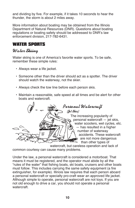and dividing by five. For example, if it takes 10 seconds to hear the thunder, the storm is about 2 miles away.

More information about boating may be obtained from the Illinois Department of Natural Resources (DNR). Questions about boating regulations or boating safety should be addressed to DNR's law enforcement division, 217-782-6431.

## WATER SPoRTS

# *Water Skiing*

Water skiing is one of America's favorite water sports. To be safe, remember these simple rules:

- Always wear a life jacket.
- Someone other than the driver should act as a spotter. The driver should watch the waterway, not the skier.
- Always check the tow line before each person skis.
- Maintain a reasonable, safe speed at all times and be alert for other boats and watercraft.



watercraft, but careless operation and lack of common courtesy can cause many problems.

Under the law, a personal watercraft is considered a motorboat. That means it must be registered, and the operator must abide by all the "rules of the water" that fishing boats, ski boats, cruisers and other boats must follow. This includes carrying the same safety equipment (a fire extinguisher, for example). Illinois law requires that each person aboard a personal watercraft or specialty pro-craft wear an approved life jacket. Although simple to operate, personal watercraft are not toys. If you are not old enough to drive a car, you should not operate a personal watercraft.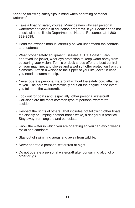Keep the following safety tips in mind when operating personal watercraft:

- Take a boating safety course. Many dealers who sell personal watercraft participate in education programs. If your dealer does not, check with the Illinois Department of Natural Resources at 1-800- 832-2599.
- Read the owner's manual carefully so you understand the controls and features.
- Wear proper safety equipment. Besides a U.S. Coast Guardapproved life jacket, wear eye protection to keep water spray from obscuring your vision. Tennis or deck shoes offer the best control on your machine, and gloves and a wet suit offer protection from the elements. Attach a whistle to the zipper of your life jacket in case you need to summon help.
- Never operate personal watercraft without the safety cord attached to you. The cord will automatically shut off the engine in the event you fall from the watercraft.
- Look out for boats and, especially, other personal watercraft. Collisions are the most common type of personal watercraft accident.
- Respect the rights of others. That includes not following other boats too closely or jumping another boat's wake, a dangerous practice. Stay away from anglers and canoeists.
- Know the water in which you are operating so you can avoid weeds, rocks and sandbars.
- Stay out of swimming areas and away from wildlife.
- Never operate a personal watercraft at night.
- Do not operate a personal watercraft after consuming alcohol or other drugs.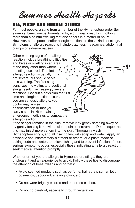*Summer Health Hazards*

## BEE, WASP AND hoRNET STINGS

For most people, a sting from a member of the Hymenoptera order (for example, bees, wasps, hornets, ants, etc.) usually results in nothing more than a painful swelling that disappears in a matter of hours. However, some people suffer allergic reactions to these kinds of stings. Symptoms of allergic reactions include dizziness, headaches, abdominal cramps or extreme nausea.

Other warning signs of an allergic reaction include breathing difficulties and hives or swelling in an area of the body other than where the sting occurred. The first allergic reaction is usually not severe, but should serve as a warning. The first sting sensitizes the victim, and additional stings result in increasingly severe reactions. Consult a physician the first time an allergic reaction occurs. If you are seriously allergic, your doctor may advise desensitization or that you carry a special kit containing emergency medicines to combat the allergic reaction.

If the stinger remains in the skin, remove it by gently scraping away or by gently teasing it out with a clean pointed instrument. Do not squeeze; this may inject more venom into the skin. Thoroughly wash Hymenoptera stings, and all insect bites, with soap and water. Apply an antiseptic anti-inflammatory ointment or cream, or a paste made of baking soda and water, to relieve itching and to prevent infection. If more serious symptoms occur, especially those indicating an allergic reaction, seek medical attention promptly.

Whether or not you are allergic to Hymenoptera stings, they are unpleasant and an experience to avoid. Follow these tips to discourage the attention of bees, wasps and hornets:

- Avoid scented products such as perfume, hair spray, suntan lotion, cosmetics, deodorant, shaving lotion, etc.
- Do not wear brightly colored and patterned clothes.
- Do not go barefoot, especially through vegetation.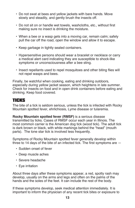- Do not swat at bees and yellow jackets with bare hands. Move slowly and steadily, and gently brush the insects off.
- Do not sit on or handle wet towels, washcloths, etc., without first making sure no insect is drinking the moisture.
- When a bee or a wasp gets into a moving car, remain calm; safely pull the car off the road, open the window and allow it to escape.
- Keep garbage in tightly sealed containers.
- Hypersensitive persons should wear a bracelet or necklace or carry a medical alert card indicating they are susceptible to shock-like symptoms or unconsciousness after a bee sting.
- Insect repellants used to repel mosquitoes and other biting flies will not repel wasps and bees.

Finally, be watchful when cooking, eating and drinking outdoors, especially during yellow jacket season, which heightens in late summer. Check for insects on food and in open drink containers before eating and drinking. Keep food covered.

## TICKS

The bite of a tick is seldom serious, unless the tick is infected with Rocky Mountain spotted fever, ehrlichiosis, Lyme disease or tularemia.

**Rocky Mountain spotted fever (RMSF)** is a serious disease transmitted by ticks. Cases of RMSF occur each year in Illinois. The most common carrier is the American dog tick (wood tick). The adult tick is dark brown or black, with white markings behind the "head" (mouth parts). The lone star tick is involved less frequently.

Symptoms of Rocky Mountain spotted fever generally develop within three to 14 days of the bite of an infected tick. The first symptoms are —

- Sudden onset of fever
- Deep muscle aches
- Severe headache
- Eye irritation

About three days after these symptoms appear, a red, spotty rash may develop, usually on the arms and legs and often on the palms of the hands and the soles of the feet. It can include the rest of the body.

If these symptoms develop, seek medical attention immediately. It is important to inform the physician of any recent tick bites or exposure to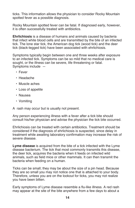ticks. This information allows the physician to consider Rocky Mountain spotted fever as a possible diagnosis.

Rocky Mountain spotted fever can be fatal. If diagnosed early, however, it is often successfully treated with antibiotics.

**Ehrlichiosis** is a disease of humans and animals caused by bacteria that infect white blood cells and are transmitted by the bite of an infected tick. The lone star tick, the American dog tick (wood tick) and the deer tick (black-legged tick) have been associated with ehrlichiosis.

Symptoms typically begin between one and three weeks after exposure to an infected tick. Symptoms can be so mild that no medical care is sought, or the illness can be severe, life threatening or fatal. Symptoms include —

- Fever
- Headache
- Muscle aches
- Loss of appetite
- Nausea
- Vomiting
- A rash may occur but is usually not present.

Any person experiencing illness with a fever after a tick bite should consult his/her physician and advise the physician the tick bite occurred.

Ehrlichiosis can be treated with certain antibiotics. Treatment should be considered if the diagnosis of ehrlichiosis is suspected, since delay in treatment while awaiting laboratory confirmation may increase the risk of severe disease.

**Lyme disease** is acquired from the bite of a tick infected with the Lyme disease bacterium. The tick that most commonly transmits this disease, the deer tick, acquires the bacteria when it feeds on infected wild animals, such as field mice or other mammals. It can then transmit the bacteria when feeding on a human.

Ticks can be small; they may be about the size of a pin head. Because they are so small you may not notice one that is attached to your body. Therefore, unless you are on the lookout for ticks, you may not realize you have been bitten.

Early symptoms of Lyme disease resemble a flu-like illness. A red rash may appear at the site of the bite anywhere from a few days to about a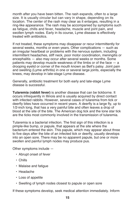month after you have been bitten. The rash expands, often to a large size. It is usually circular but can vary in shape, depending on its location. The center of the rash may clear as it enlarges, resulting in a ring-like appearance. The rash may be accompanied by symptoms such as fatigue, chills and fever, headache, muscle and joint pain, and swollen lymph nodes. Early in its course, Lyme disease is effectively treated with antibiotics.

If not treated, these symptoms may disappear or recur intermittently for several weeks, months or even years. Other complications — such as an irregular heartbeat or problems with the nervous system, including intermittent headaches, stiff neck, poor motor coordination, meningitis or encephalitis — also may occur after several weeks or months. Some patients may develop muscle weakness of the limbs or of the face — a drooping eyelid or corner of the mouth known as Bell's palsy. Joint pain and swelling (Lyme arthritis) in one or several large joints, especially the knees, may develop in late-stage Lyme disease.

Generally, antibiotic treatment for both early and late-stage Lyme disease is successful.

**Tularemia (rabbit fever)** is another disease that can be tickborne. It occurs infrequently in Illinois and is usually acquired by direct contact with infected rabbits. However, several cases of tularemia from tick or deerfly bites have occurred in recent years. A deerfly is a large fly, up to 1/2-inch long, that has a very painful bite and often leaves a drop of blood at the site of the bite. The American dog tick and the lone star tick are the ticks most commonly involved in the transmission of tularemia.

Tularemia is a bacterial infection. The first sign of this infection is a pimple-like bump, or papule, that appears at the site where the bacterium entered the skin. This papule, which may appear about three to five days after the bite of an infected tick or deerfly, usually develops into an open sore. There may be no apparent papule, but one or more swollen and painful lymph nodes may produce pus.

Other symptoms include —

- Abrupt onset of fever
- Chills
- Malaise and fatigue
- Headache
- Loss of appetite
- Swelling of lymph nodes closest to papule or open sore

If these symptoms develop, seek medical attention immediately. Inform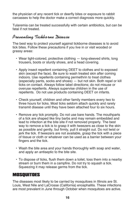the physician of any recent tick or deerfly bites or exposure to rabbit carcasses to help the doctor make a correct diagnosis more quickly.

Tularemia can be treated successfully with certain antibiotics, but can be fatal if not treated.

## *Preventing Tickborne Disease*

The best way to protect yourself against tickborne diseases is to avoid tick bites. Follow these precautions if you live in or visit wooded or grassy areas:

- Wear light-colored, protective clothing long-sleeved shirts, long trousers, boots or sturdy shoes, and a head covering.
- Apply insect repellent containing DEET to clothes and to exposed skin (except the face). Be sure to wash treated skin after coming indoors. Use repellents containing permethrin to treat clothes (especially pants, socks and shoes) — but not skin. Both repel or kill ticks on contact. Always follow label directions; do not misuse or overuse repellents. Always supervise children in the use of repellents. Do not use products containing DEET on infants.
- Check yourself, children and other family members every two to three hours for ticks. Most ticks seldom attach quickly and rarely transmit disease until they have been attached four to six hours.
- Remove any tick promptly. Do not use bare hands. The mouthparts of a tick are shaped like tiny barbs and may remain embedded and lead to infection at the bite site if not removed properly. The best way to remove a tick is to grasp it with tweezers as close to the skin as possible and gently, but firmly, pull it straight out. Do not twist or jerk the tick. If tweezers are not available, grasp the tick with a piece of tissue or cloth or whatever can be used as a barrier between your fingers and the tick.
- Wash the bite area and your hands thoroughly with soap and water, and apply an antiseptic to the bite site.
- To dispose of ticks, flush them down a toilet, toss them into a nearby stream or burn them in a campfire. Do not try to squash a tick. Squeezing it may release germs from the tick.

## MoSQUIToES

The diseases most likely to be carried by mosquitoes in Illinois are St. Louis, West Nile and LaCrosse (California) encephalitis. These infections are most prevalent in June through October when mosquitoes are active.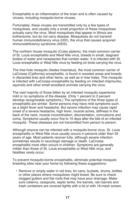Encephalitis is an inflammation of the brain and is often caused by viruses, including mosquito-borne viruses.

Fortunately, these viruses are transmitted only by a few types of mosquitoes, and usually only a small proportion of these mosquitoes actually carry the virus. Most mosquitoes that appear in Illinois are bothersome, but do not carry disease. Mosquitoes do not transmit human immunodeficiency virus (HIV), the virus that causes acquired immunodeficiency syndrome (AIDS).

The northern house mosquito (Culex pipiens), the most common carrier of St. Louis encephalitis and West Nile virus, breeds in small, stagnant bodies of water and receptacles that contain water. It is infected with St. Louis encephalitis or West Nile virus by feeding on birds carrying the virus.

The tree-hole mosquito (Aedes triseriatus), the most common carrier of LaCrosse (California) encephalitis, is found in wooded areas and breeds in discarded tires and other items, as well as in tree holes. This mosquito is infected with LaCrosse encephalitis by feeding on infected chipmunks, squirrels and other small woodland animals carrying the virus.

The vast majority of those bitten by an infected mosquito experience mild or no symptoms of the disease. (Only 1 percent to 2 percent develop recognizable symptoms.) The symptoms of the three types of encephalitis are similar. Some persons may have mild symptoms such as a slight fever and headache. But severe infection may cause rapid onset of a severe headache, high fever, muscle aches, stiffness in the back of the neck, muscle incoordination, disorientation, convulsions and coma. Symptoms usually occur five to 15 days after the bite of an infected mosquito. These diseases are not transmitted from person to person.

Although anyone can be infected with a mosquito-borne virus, St. Louis encephalitis or West Nile virus usually occurs in persons older than 55 years of age. Most patients recover fully, although severe infection sometimes results in neurologic damage or death. LaCrosse encephalitis most often occurs in children. Symptoms are generally milder than those of St. Louis encephalitis or West Nile virus, and fatalities rarely occur.

To prevent mosquito-borne encephalitis, eliminate potential mosquito breeding sites near your home by following these suggestions:

• Remove or empty water in old tires, tin cans, buckets, drums, bottles or other places where mosquitoes might breed. Be sure to check clogged gutters and flat roofs that may have poor drainage. Make sure cisterns, cesspools, septic tanks, fire barrels, rain barrels and trash containers are covered tightly with a lid or with 16-mesh screen.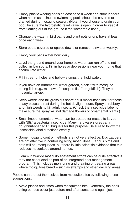- Empty plastic wading pools at least once a week and store indoors when not in use. Unused swimming pools should be covered or drained during mosquito season. (Note: If you choose to drain your pool, be sure the hydrostatic relief valve is open in order to keep it from floating out of the ground if the water table rises.)
- Change the water in bird baths and plant pots or drip trays at least once each week.
- Store boats covered or upside down, or remove rainwater weekly.
- Empty your pet's water bowl daily.
- Level the ground around your home so water can run off and not collect in low spots. Fill in holes or depressions near your home that accumulate water.
- Fill in tree rot holes and hollow stumps that hold water.
- If you have an ornamental water garden, stock it with mosquitoeating fish (e.g., minnows, "mosquito fish," or goldfish). They eat mosquito larvae.
- Keep weeds and tall grass cut short; adult mosquitoes look for these shady places to rest during the hot daylight hours. Spray shrubbery and high weeds to kill adult insects. (Check the insecticide label to make sure the spray will not damage flowers or ornamental plants.)
- Small impoundments of water can be treated for mosquito larvae with "Bti," a bacterial insecticide. Many hardware stores carry doughnut-shaped Bti briquets for this purpose. Be sure to follow the insecticide label directions exactly.
- Some mosquito control methods are not very effective. Bug zappers are not effective in controlling biting mosquitoes. Various birds and bats will eat mosquitoes, but there is little scientific evidence that this reduces mosquitoes around homes.
- Community-wide mosquito abatement efforts can be quite effective if they are conducted as part of an integrated pest management program. This includes monitoring and draining or treating areas where mosquitoes breed – such as swamps and other low-lying areas.

People can protect themselves from mosquito bites by following these suggestions:

• Avoid places and times when mosquitoes bite. Generally, the peak biting periods occur just before and after sunset and again just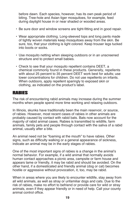before dawn. Each species, however, has its own peak period of biting. Tree-hole and Asian tiger mosquitoes, for example, feed during daylight house in or near shaded or wooded areas.

- Be sure door and window screens are tight-fitting and in good repair.
- Wear appropriate clothing. Long-sleeved tops and long pants made of tightly woven materials keep mosquitoes away from the skin. Be sure, too, that your clothing is light colored. Keep trouser legs tucked into boots or socks.
- Use mosquito netting when sleeping outdoors or in an unscreened structure and to protect small babies.
- Check to see that your mosquito repellent contains DEET, a chemical commonly found in these products. Generally, repellents with about 25 percent to 35 percent DEET work best for adults; use lower concentrations for children. Do not use repellents on infants. When outdoors, apply repellent sparingly to exposed skin or clothing, as indicated on the product's label.

## RABIES

The risk of encountering rabid animals may increase during the summer months when people spend more time working and relaxing outdoors.

In Illinois, skunks have traditionally been the main reservoir, or source, of rabies. However, most recent cases of rabies in other animals are probably caused by contact with rabid bats. Bats now account for the majority of rabid animal cases. Rabies is transmitted to wildlife, farm animals, family pets and people through contact with the saliva of a rabid animal, usually after a bite.

An animal need not be "foaming at the mouth" to have rabies. Other signs, such as difficulty walking or a general appearance of sickness, indicate an animal may be in the early stages of rabies.

One of the most important signs of rabies is a change in the animal's normal behavior. For example, if a wild animal that normally avoids human contact approaches a picnic area, campsite or farm house and appears tame or friendly, it may be rabid and should be avoided. On the other hand, if a domesticated and friendly animal (dog or cat) becomes hostile or aggressive without provocation, it, too, may be rabid.

When in areas where you are likely to encounter wildlife, stay away from all wild animals, as well as stray or unfamiliar dogs and cats. Due to the risk of rabies, make no effort to befriend or provide care for wild or stray animals, even if they appear friendly or in need of help. Call your county animal control office.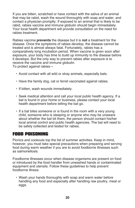If you are bitten, scratched or have contact with the saliva of an animal that may be rabid, wash the wound thoroughly with soap and water, and contact a physician promptly. If exposed to an animal that is likely to be rabid, rabies vaccine and immune globulin should begin immediately. Your local health department will provide consultation on the need for rabies treatment.

Rabies vaccine **prevents** the disease but it is **not** a treatment for the disease. Once the symptoms of rabies develop, the disease cannot be treated and is almost always fatal. Fortunately, rabies has a comparatively long incubation period. When vaccine is given soon after exposure, your body has time to build up immunity to the disease before it develops. But the only way to prevent rabies after exposure is to receive the vaccine and immune globulin.

To protect against rabies—

- Avoid contact with all wild or stray animals, especially bats.
- Have the family dog, cat or ferret vaccinated against rabies.
- If bitten, wash wounds immediately.
- Seek medical attention and call your local public health agency. If a bat is found in your home or business, please contact your local health department before letting the bat go.
- If a bat bites someone or is found in the room with a very young child, someone who is sleeping or anyone who may be unaware about whether the bat bit them, the person should contact his/her local animal control and public health agencies. The bat will need to be safely collected and tested for rabies.

#### FooD PoISoNING

Picnics and cookouts top the list of summer activities. Keep in mind, however, you must take special precautions when preparing and serving food during warm weather if you are to avoid foodborne illnesses such as salmonellosis.

Foodborne illnesses occur when disease organisms are present on food or introduced by the food handler from unwashed hands or contaminated equipment and utensils. Follow these guidelines to help prevent foodborne illness:

• Wash your hands thoroughly with soap and warm water before handling any food and especially after handling raw poultry, meat or eggs.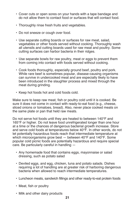- Cover cuts or open sores on your hands with a tape bandage and do not allow them to contact food or surfaces that will contact food.
- Thoroughly rinse fresh fruits and vegetables.
- Do not sneeze or cough over food.
- Use separate cutting boards or surfaces for raw meat, salad, vegetables or other foods served without cooking. Thoroughly wash all utensils and cutting boards used for raw meat and poultry. Some cutting surfaces can harbor bacteria in their ridges.
- Use separate bowls for raw poultry, meat or eggs to prevent them from coming into contact with foods served without cooking.
- Cook foods thoroughly, especially ground beef, poultry and pork. While rare beef is sometimes popular, disease-causing organisms can survive in undercooked meat and are especially likely to have been introduced in the slaughter process and mixed through the meat during grinding.
- Keep hot foods hot and cold foods cold.

Make sure to keep raw meat, fish or poultry cold until it is cooked. Be sure it does not come in contact with ready-to-eat food (e.g., cheese, sliced onions or tomatoes, bread). Also, never place cooked meats on the same plate or pan that held raw meats.

Do not serve hot foods until they are heated to between 140°F and 165°F or higher. Do not leave food unrefrigerated longer than one hour at a time or the chances of dangerous bacterial growth increase. Store and serve cold foods at temperatures below 40°F. In other words, do not let potentially hazardous foods reach that intermediate temperature at which microorganisms grow best — between 40°F and 140°F. Some popular cold picnic foods are potentially hazardous and require special care. Be particularly careful in handling —

- Any homemade food that contains eggs, mayonnaise or salad dressing, such as potato salad
- Deviled eggs, and egg, chicken, tuna and potato salads. Dishes requiring a lot of handling are at greater risk of harboring dangerous bacteria when allowed to reach intermediate temperatures.
- Luncheon meats, sandwich fillings and other ready-to-eat protein foods
- Meat, fish or poultry
- Milk and other dairy products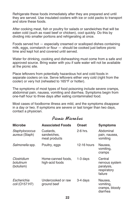Refrigerate these foods immediately after they are prepared and until they are served. Use insulated coolers with ice or cold packs to transport and store these foods.

After cooking meat, fish or poultry for salads or sandwiches that will be eaten cold (such as roast beef or chicken), cool quickly. Do this by dividing into smaller portions and refrigerating at once.

Foods served hot — especially creamed or scalloped dishes containing milk, eggs, cornstarch or flour — should be cooked just before picnic time and kept hot and covered until served.

Water for drinking, cooking and dishwashing must come from a safe and approved source. Bring water with you if safe water will not be available at the picnic site.

Place leftovers from potentially hazardous hot and cold foods in separate coolers on ice. Serve leftovers either very cold (right from the cooler) or very hot (reheated to 165°F or hotter).

The symptoms of most types of food poisoning include severe cramps, abdominal pain, nausea, vomiting and diarrhea. Symptoms begin from one-half hour to three days after eating contaminated food.

Most cases of foodborne illness are mild, and the symptoms disappear in a day or two. If symptoms are severe or last longer than two days, contact a physician.

## *Picnic Micro bes*

| <b>Microbe</b>                         | <b>Associated Foods</b>                   | <b>Onset</b>  | <b>Symptoms</b>                                                   |
|----------------------------------------|-------------------------------------------|---------------|-------------------------------------------------------------------|
| Staphylococcus<br>aureus (Staph)       | Custards.<br>sandwiches,<br>meat products | $2-6$ hrs.    | Abdominal<br>pain, nausea,<br>vomiting                            |
| Salmonella spp.                        | Poultry, eggs                             | $12-16$ hours | Nausea,<br>vomiting,<br>cramps                                    |
| Clostridium<br>botulinum<br>(botulism) | Home-canned foods,<br>high-acid foods     | $1-3$ days    | Central<br>nervous system<br>paralysis,<br>respiratory<br>failure |
| Escherichia<br>coli (0157:H7)          | Undercooked or raw<br>ground beef         | 3-4 days      | Nausea,<br>vomiting,<br>cramps, bloody<br>diarrhea                |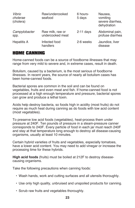| Vibrio<br>cholerae<br>(cholera) | Raw/undercooked<br>seafood           | 6 hours-<br>5 days | Nausea,<br>vomiting<br>severe diarrhea,<br>dehydration |
|---------------------------------|--------------------------------------|--------------------|--------------------------------------------------------|
| Campylobacter<br>spp.           | Raw milk, raw or<br>undercooked meat | $2-11$ days        | Abdominal pain,<br>profuse diarrhea                    |
| <b>Hepatitis A</b>              | Infected food<br>handlers            | 2-6 weeks          | Jaundice, liver<br>disease                             |

#### hoME CANNING

Home-canned foods can be a source of foodborne illnesses that may range from very mild to severe and, in extreme cases, result in death.

Botulism, caused by a bacterium, is the most serious of foodborne illnesses. In recent years, the source of nearly all botulism cases has been home-canned foods.

Bacterial spores are common in the soil and can be found on vegetables, fruits and even meat and fish. If home-canned food is not processed at a high enough temperature and pressure, bacterial spores can grow and produce a lethal toxin.

Acids help destroy bacteria, so foods high in acidity (most fruits) do not require as much heat during canning as do foods with low acid content (most vegetables).

To preserve low acid foods (vegetables), heat-process them under pressure at 240F. Ten pounds of pressure in a steam-pressure canner corresponds to 240F. Every particle of food in each jar must reach 240F and stay at that temperature long enough to destroy all disease-causing organisms, usually at least 10 minutes.

Certain hybrid varieties of fruits and vegetables, especially tomatoes, have a lower acid content. You may need to add vinegar or increase the processing time for these hybrids.

**High acid foods** (fruits) must be boiled at 212F to destroy diseasecausing organisms.

Take the following precautions when canning foods:

- Wash hands, work and cutting surfaces and all utensils thoroughly.
- Use only high quality, unbruised and unspoiled products for canning.
- Scrub raw fruits and vegetables thoroughly.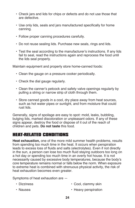- Check jars and lids for chips or defects and do not use those that are defective.
- Use only lids, seals and jars manufactured specifically for home canning.
- Follow proper canning procedures carefully.
- Do not reuse sealing lids. Purchase new seals, rings and lids.
- Test the seal according to the manufacturer's instructions. If any lids fail to seal, read the instructions again and reprocess the food until the lids seal properly.

Maintain equipment and properly store home-canned foods:

- Clean the gauge on a pressure cooker periodically.
- Check the dial gauge regularly.
- Clean the canner's petcock and safety valve openings regularly by pulling a string or narrow strip of cloth through them.
- Store canned goods in a cool, dry place away from heat sources, such as hot water pipes or sunlight, and from moisture that could rust lids.

Generally, signs of spoilage are easy to spot: mold, leaks, bubbling, bulging lids, marked discoloration or unpleasant odors. If any of these signs appear, destroy the food or dispose of it out of the reach of children and pets. **Do not taste** this food.

#### hEAT-RELATED CoNDITIoNS

**Heat exhaustion,** one of the more mild summer health problems, results from spending too much time in the heat. It occurs when perspiration leads to excess loss of fluids and salts (electrolytes). Even if not directly in the sun, a person can lose too much fluid staying outdoors too long on a hot day or spending too much time in an overly hot house. It is not necessarily caused by excessive body temperatures, because the body's core temperature remains normal or falls below the norm. When exposure to extreme heat is combined with strenuous physical activity, the risk of heat exhaustion becomes even greater.

Symptoms of heat exhaustion are —

- 
- Dizziness Cool, clammy skin
- 
- Nausea **Heavy perspiration**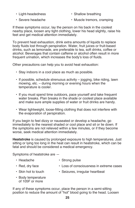- 
- Light-headedness Shallow breathing
- 
- Severe headache Muscle tremors, cramping

If these symptoms occur, lay the person on his back in the coolest nearby place, loosen any tight clothing, lower his head slightly, raise his feet and get medical attention immediately.

To prevent heat exhaustion, drink extra amounts of liquids to replace body fluids lost through perspiration. Water, fruit juices or fruit-based drinks, such as lemonade, are preferable to tea, soft drinks, coffee or alcohol. Beverages that contain caffeine or alcohol often result in more frequent urination, which increases the body's loss of fluids.

Other precautions can help you to avoid heat exhaustion:

- Stay indoors in a cool place as much as possible.
- If possible, schedule strenuous activity jogging, bike riding, lawn mowing, etc. – during morning or evening hours when the temperature is cooler.
- If you must spend time outdoors, pace yourself and take frequent water breaks. Plan breaks in the shade or coolest place available and make sure ample supplies of water or fruit drinks are handy.
- Wear lightweight, loose-fitting clothing that does not interfere with the evaporation of perspiration.

If you begin to feel dizzy or nauseated or develop a headache, go immediately to the nearest shaded or cool place and sit or lie down. If the symptoms are not relieved within a few minutes, or if they become worse, seek medical attention immediately.

**Heatstroke** is caused by prolonged exposure to high temperatures. Just sitting or lying too long in the heat can result in heatstroke, which can be fatal and should be considered a medical emergency.

Symptoms of heatstroke are —

- Headache Strong pulse
- Red, dry face Loss of consciousness in extreme cases
- 
- Skin hot to touch Seizures, irregular heartbeat
- Body temperature of 105F or more

If any of these symptoms occur, place the person in a semi-sitting position to reduce the amount of "hot" blood going to the head. Loosen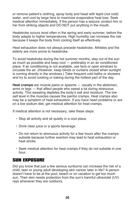or remove patient's clothing, spray body and head with tepid (not cold) water, and cool by large fans to maximize evaporative heat loss. Seek medical attention immediately. If the person has a seizure, protect him or her from striking objects and DO NOT put anything in the mouth.

Heatstroke occurs most often in the spring and early summer, before the body adapts to higher temperatures. High humidity can increase the risk because it keeps the body from cooling itself as effectively.

Heat exhaustion does not always precede heatstroke. Athletes and the elderly are more prone to heatstroke.

To avoid heatstroke during the hot summer months, stay out of the sun as much as possible and keep cool — preferably in an air conditioned place. If air conditioning is not available, use fans or open windows to circulate the air. (However, keep blinds or curtains closed when sunlight is coming directly in the windows.) Take frequent cold baths or showers and try to avoid cooking or baking during the hottest part of the day.

**Heat cramps** are muscle pains or spasms — usually in the abdomen, arms or legs — that affect people who sweat a lot during strenuous activity. This sweating depletes the body's salt and moisture. The low salt level in the muscles causes the painful cramps. Heat cramps also may be a symptom of heat exhaustion. If you have heart problems or are on a low sodium diet, get medical attention for heat cramps.

If medical attention is not necessary, take these steps:

- Stop all activity and sit quietly in a cool place.
- Drink clear juice or a sports beverage.
- Do not return to strenuous activity for a few hours after the cramps subside because further exertion may lead to heat exhaustion or heat stroke.
- Seek medical attention for heat cramps if they do not subside in one hour.

## SUN EXPoSURE

Did you know that just a few serious sunburns can increase the risk of a child, teen or young adult developing skin cancer later in life? A person doesn't have to be at the pool, beach or on vacation to get too much sun. Their skin needs protection from the sun's harmful ultraviolet (UV) rays whenever they are outdoors.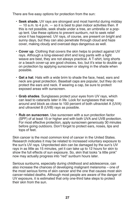There are five easy options for protection from the sun:

- **Seek shade.** UV rays are strongest and most harmful during midday — 10 a.m. to 4 p.m. — so it is best to plan indoor activities then. If this is not possible, seek shade under a tree, an umbrella or a popup tent. Use these options to prevent sunburn, not to seek relief once it has happened. UV rays, of course, are present on bright and sunny days, but they can also penetrate through cloud and haze cover, making cloudy and overcast days dangerous as well.
- **Cover up**. Clothing that covers the skin helps to protect against UV rays. Although a long-sleeved shirt and long pants with a tight weave are best, they are not always practical. A T-shirt, long shorts or a beach cover-up are good choices, too, but it's wise to double up on protection by applying sunscreen or staying in the shade when possible.
- **Get a hat**. Hats with a wide brim to shade the face, head, ears and neck are great protection. Baseball caps are popular, but they do not protect the ears and neck. If wearing a cap, be sure to protect exposed areas with sunscreen.
- **Grab shades**. Sunglasses protect your eyes from UV rays, which can lead to cataracts later in life. Look for sunglasses that wrap around and block as close to 100 percent of both ultraviolet A (UVA) and ultraviolet B (UVB) rays as possible.
- **Rub on sunscreen**. Use sunscreen with a sun protection factor (SPF) of at least 15 or higher and with both UVA and UVB protection. For most effective protection, apply sunscreen generously 30 minutes before going outdoors. Don't forget to protect ears, noses, lips and tops of feet.

Skin cancer is the most common kind of cancer in the United States. Research indicates it may be related to increased voluntary exposure to the sun's UV rays. Unprotected skin can be damaged by the sun's UV rays in as little as 15 minutes, yet it can take up to 12 hours for skin to show the full effects of sun exposure. So, skin that looks "a little pink" now may actually progress into "red" sunburn hours later.

Serious sunburns, especially during childhood and adolescence, can also increase the chances of developing malignant melanoma – one of the most serious forms of skin cancer and the one that causes most skin cancer-related deaths. Although most people are aware of the danger of UV exposure, it is estimated that only one-third take steps to protect their skin from the sun.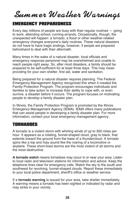# *Summer Weather Warnings*

### EMERGENCY PREPAREDNESS

Every day millions of people are busy with their regular routines — going to work, attending school, running errands. Occasionally, though, the unexpected will happen: a tornado, a flood or other weather-related emergency changes everyone's daily routines. These natural disasters do not have to have tragic endings, however, if people are prepared beforehand to deal with their aftermath.

Many times in the wake of a natural disaster, local officials and emergency response personnel may be overwhelmed and unable to reach people right away. So, after most disasters, a family should be prepared to be self-sufficient for at least three days. This may mean providing for your own shelter, first aid, water and sanitation.

Being prepared for a natural disaster requires planning. The Federal Emergency Management Agency recognized this when it created the Family Protection Program. The program encourages individuals and families to take action to increase their ability to cope with, or even survive, a disaster before it occurs. The program focuses on motivating people to develop a family disaster plan.

In Illinois, the Family Protection Program is promoted by the Illinois Emergency Management Agency (IEMA). IEMA offers many publications that can assist people in developing a family disaster plan. For more information, contact your local emergency management agency.

### ToRNADoES

A tornado is a violent storm with whirling winds of up to 300 miles per hour. It appears as a rotating, funnel-shaped cloud, gray to black, that extends toward the ground from the base of a thundercloud. A tornado spins like a top and may sound like the roaring of a locomotive or airplane. These short-lived storms are the most violent of all storms and the most destructive.

**A tornado watch** means tornadoes may occur in or near your area. Listen to local radio and television stations for information and advice. Keep the telephone lines clear for emergency calls. Watch the sky to the south and southwest for revolving, funnel-shaped clouds. Report these immediately to your local police department, sheriff's office or weather service.

If a **tornado warning** is issued for your area, take shelter immediately. A warning means a tornado has been sighted or indicated by radar and may strike in your vicinity.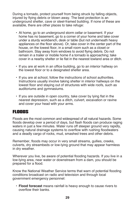During a tornado, protect yourself from being struck by falling objects, injured by flying debris or blown away. The best protection is an underground shelter, cave or steel-framed building. If none of these are available, there are other places to take refuge:

- At home, go to an underground storm cellar or basement. If your home has no basement, go to a corner of your home and take cover under a sturdy workbench, desk or table (but not underneath heavy appliances on the floor above). Or, take cover in the center part of the house, on the lowest floor, in a small room such as a closet or bathroom. Stay away from windows to avoid flying debris. Do not remain in a trailer or mobile home if a tornado is approaching; take cover in a nearby shelter or lie flat in the nearest lowland area or ditch.
- If you are at work in an office building, go to an interior hallway on the lowest floor or to a designated shelter area.
- If you are at school, follow the instructions of school authorities. Instructions usually involve taking shelter in interior hallways on the lowest floor and staying out of structures with wide roofs, such as auditoriums and gymnasiums.
- If you are outside in open country, take cover by lying flat in the nearest depression, such as a ditch, culvert, excavation or ravine and cover your head with your arms.

## FLooDS

Floods are the most common and widespread of all natural hazards. Some floods develop over a period of days, but flash floods can produce raging waters in just a few minutes. Water runs off steeper ground very rapidly, causing natural drainage systems to overflow with rushing floodwaters and a deadly cargo of rocks, mud, smashed trees and other debris.

Remember, floods may occur in very small streams, gullies, creeks, culverts, dry streambeds or low-lying ground that may appear harmless in dry weather.

Wherever you live, be aware of potential flooding hazards. If you live in a low-lying area, near water or downstream from a dam, you should be prepared for a flood.

Know the National Weather Service terms that warn of potential flooding conditions broadcast on radio and television and through local government emergency personnel:

• **Flood forecast** means rainfall is heavy enough to cause rivers to overflow their banks.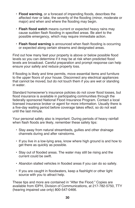- **Flood warning**, or a forecast of impending floods, describes the affected river or lake, the severity of the flooding (minor, moderate or major) and when and where the flooding may begin.
- **Flash flood watch** means current or expected heavy rains may cause sudden flash flooding in specified areas. Be alert to the possible emergency, which may require immediate action.
- **Flash flood warning** is announced when flash flooding is occurring or expected along certain streams and designated areas.

Find out how many feet your property is above or below possible flood levels so you can determine if it may be at risk when predicted flood levels are broadcast. Careful preparation and prompt response can help ensure your safety and reduce property loss.

If flooding is likely and time permits, move essential items and furniture to the upper floors of your house. Disconnect any electrical appliances that cannot be moved, but do not touch them if you are wet or standing in water.

Standard homeowner's insurance policies do not cover flood losses, but flood insurance is available in participating communities through the federally sponsored National Flood Insurance Program. Contact a local licensed insurance broker or agent for more information. Usually there is a five-day waiting period before coverage takes effect, so do not wait until the last minute.

Your personal safety also is important. During periods of heavy rainfall when flash floods are likely, remember these safety tips:

- Stay away from natural streambeds, gullies and other drainage channels during and after rainstorms.
- If you live in a low-lying area, know where high ground is and how to get there as quickly as possible.
- Stay out of flooded areas. The water may still be rising and the current could be swift.
- Abandon stalled vehicles in flooded areas if you can do so safely.
- If you are caught in floodwaters, keep a flashlight or other light source with you to attract help.

These tips and more are contained in "After the Flood." Copies are available from IDPH, Division of Communications, at 217-782-5750, TTY (hearing impaired use only) 800-547-0466.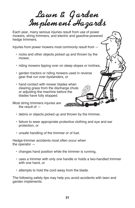*Lawn & G arden Implement Hazards*

Each year, many serious injuries result from use of power mowers, string trimmers, and electric and gasoline-powered hedge trimmers.

Injuries from power mowers most commonly result from —

- rocks and other objects picked up and thrown by the mower,
- riding mowers tipping over on steep slopes or inclines,
- garden tractors or riding mowers used in reverse gear that run over bystanders, or
- hand contact with mower blades when clearing grass from the discharge chute or adjusting the machine before the blades have fully stopped.

Most string trimmers injuries are the result of  $-$ 

- debris or objects picked up and thrown by the trimmer,
- failure to wear appropriate protective clothing and eye and ear protection, or
- unsafe handling of the trimmer or of fuel.

Hedge-trimmer accidents most often occur when the operator —

- changes hand position while the trimmer is running,
- uses a trimmer with only one handle or holds a two-handled trimmer with one hand, or
- attempts to hold the cord away from the blade.

The following safety tips may help you avoid accidents with lawn and garden implements.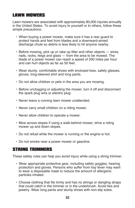## LAWN MoWERS

Lawn mowers are associated with approximately 80,000 injuries annually in the United States. To avoid injury to yourself or to others, follow these simple precautions:

- When buying a power mower, make sure it has a rear guard to protect hands and feet from blades and a downward-aimed discharge chute so debris is less likely to hit anyone nearby.
- Before mowing, pick up or rake up litter and other objects wires, nails, rocks, twigs and glass — from the area to be mowed. The blade of a power mower can reach a speed of 200 miles per hour and can hurl objects as far as 50 feet.
- Wear sturdy, comfortable shoes with enclosed toes, safety glasses, gloves, long-sleeved shirt and long pants.
- Do not allow children or pets in the area you are mowing.
- Before unclogging or adjusting the mower, turn it off and disconnect the spark plug wire or electric plug.
- Never leave a running lawn mower unattended.
- Never carry small children on a riding mower.
- Never allow children to operate a mower.
- Mow across slopes if using a walk-behind mower; drive a riding mower up and down slopes.
- Do not refuel while the mower is running or the engine is hot.
- Do not smoke near a power mower or gasoline.

### STRING TRIMMERS

These safety rules can help you avoid injury while using a string trimmer:

- Wear appropriate protective gear, including safety goggles, hearing protection and gloves. Persons who suffer from hay fever may want to wear a disposable mask to reduce the amount of allergenic particles inhaled.
- Choose clothing that fits trimly and has no strings or dangling straps that could catch in the trimmer or in the underbrush. Avoid ties and jewelry. Wear long pants and sturdy shoes with non-slip soles.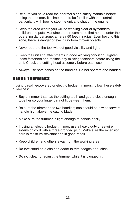- Be sure you have read the operator's and safety manuals before using the trimmer. It is important to be familiar with the controls, particularly with how to stop the unit and shut off the engine.
- Keep the area where you will be working clear of bystanders, children and pets. Manufacturers recommend that no one enter the operating danger zone, an area 50 feet in radius. Even beyond this zone, there is danger of eye injury from thrown objects.
- Never operate the tool without good visibility and light.
- Keep the unit and attachments in good working condition. Tighten loose fasteners and replace any missing fasteners before using the unit. Check the cutting head assembly before each use.
- Always use both hands on the handles. Do not operate one-handed.

#### hEDGE TRIMMERS

If using gasoline-powered or electric hedge trimmers, follow these safety guidelines:

- Buy a trimmer that has the cutting teeth and guard close enough together so your finger cannot fit between them.
- Be sure the trimmer has two handles; one should be a wide forward handle high above the cutting blade.
- Make sure the trimmer is light enough to handle easily.
- If using an electric hedge trimmer, use a heavy duty three-wire extension cord with a three-pronged plug. Make sure the extension cord is moisture-resistant and in good repair.
- Keep children and others away from the working area.
- **Do not** stand on a chair or ladder to trim hedges or bushes.
- **Do not** clean or adjust the trimmer while it is plugged in.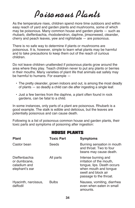# *Poisonous Plants*

As the temperature rises, children spend more time outdoors and within easy reach of yard and garden plants and mushrooms, some of which may be poisonous. Many common house and garden plants — such as rhubarb, dieffenbachia, rhododendron, daphne, jimsonweed, oleander, cherry and peach leaves, yew and nightshade — are poisonous.

There is no safe way to determine if plants or mushrooms are poisonous. It is, however, simple to learn what plants may be harmful and to take precautions to keep them out of the reach of curious children.

Do not leave children unattended if poisonous plants grow around the area where they play. Teach children never to put any plants or berries in their mouths. Many varieties of plant life that animals eat safely may be harmful to humans. For example —

- The pretty oleander, grown indoors and out, is among the most deadly of plants — so deadly a child can die after ingesting a single leaf.
- Just a few berries from the daphne, a plant often found in rock gardens, can be fatal to a child.

In some instances, only parts of a plant are poisonous. Rhubarb is a good example. The stalk is edible and delicious, but the leaves are potentially poisonous and can cause death.

Following is a list of poisonous common house and garden plants, their toxic parts and symptoms of poisoning after ingestion:

#### hoUSE PLANTS

| <b>Plant</b>                                                    | <b>Toxic Part</b> | <b>Symptoms</b>                                                                                                                                         |
|-----------------------------------------------------------------|-------------------|---------------------------------------------------------------------------------------------------------------------------------------------------------|
| Castor bean                                                     | Seeds             | Burning sensation in mouth<br>and throat. Two to four<br>beans may cause death.                                                                         |
| Dieffenbachia<br>or dumbcane,<br>caladium and<br>elephant's ear | All parts         | Intense burning and<br>irritation of the mouth,<br>tongue, lips. Death occurs<br>when mouth and tongue<br>swell and block air<br>passage to the throat. |
| Hyacinth, narcissus,<br>daffodil                                | <b>Bulbs</b>      | Nausea, vomiting, diarrhea<br>even when eaten in small<br>amounts.                                                                                      |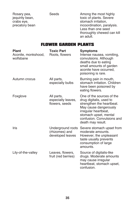Rosary pea, Seeds Beeds Among the most highly jequirity bean, the state of plants. Severe crabs eye, exercise to the stomach irritation, precatory bean precatory bean incoordination, paralysis. Less than one seed thoroughly chewed can kill an adult.

#### FLoWER GARDEN PLANTS

| <b>Plant</b><br>Aconite, monkshood,<br>wolfsbane | <b>Toxic Part</b><br>Roots, flowers                     | <b>Symptoms</b><br>Intense nausea, vomiting,<br>convulsions. Although<br>deaths due to eating<br>small amounts of garden<br>aconite have occurred,<br>poisoning is rare.                                       |
|--------------------------------------------------|---------------------------------------------------------|----------------------------------------------------------------------------------------------------------------------------------------------------------------------------------------------------------------|
| Autumn crocus                                    | All parts,<br>especially bulbs                          | Burning pain in mouth,<br>stomach irritation. Children<br>have been poisoned by<br>eating flowers.                                                                                                             |
| Foxglove                                         | All parts,<br>especially leaves,<br>flowers, seeds      | One of the sources of the<br>drug digitalis, used to<br>strengthen the heartbeat.<br>May cause dangerously<br>irregular heartbeat,<br>stomach upset, mental<br>confusion. Convulsions and<br>death may result. |
| Iris                                             | Underground roots<br>(rhizomes) and<br>developed leaves | Severe stomach upset from<br>moderate amounts.<br>However, the unpleasant<br>taste usually prevents<br>consumption of large<br>amounts.                                                                        |
| Lily-of-the-valley                               | Leaves, flowers,<br>fruit (red berries)                 | Source of digitalis-like<br>drugs. Moderate amounts<br>may cause irregular<br>heartbeat, stomach upset,<br>confusion.                                                                                          |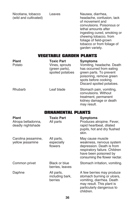Nicotiana, tobacco Leaves Nausea, diarrhea,<br>
(wild and cultivated) beadache, confusi

headache, confusion, lack of movement and convulsions. Poisonous or lethal amounts after ingesting cured, smoking or chewing tobacco, from foliage of field-grown tobacco or from foliage of garden variety.

#### VEGETABLE GARDEN PLANTS

| <b>Plant</b><br>Potato | <b>Toxic Part</b><br>Vines, sprouts<br>(green parts),<br>spoiled potatoes | <b>Symptoms</b><br>Vomiting, headache. Death<br>has occurred from eating<br>green parts. To prevent<br>poisoning, remove green<br>spots before cooking.<br>Discard spoiled potatoes. |
|------------------------|---------------------------------------------------------------------------|--------------------------------------------------------------------------------------------------------------------------------------------------------------------------------------|
| <b>Rhubarb</b>         | Leaf blade                                                                | Stomach pain, vomiting,<br>convulsions. Without<br>treatment, permanent<br>kidney damage or death<br>may result.                                                                     |

#### oRNAMENTAL PLANTS

| <b>Plant</b><br>Atropa belladonna,<br>deadly nightshade | <b>Toxic Part</b><br>All parts           | <b>Symptoms</b><br>Produces atropine. Fever,<br>rapid heartbeat, dilated<br>pupils, hot and dry flushed<br>skin.                                                    |
|---------------------------------------------------------|------------------------------------------|---------------------------------------------------------------------------------------------------------------------------------------------------------------------|
| Carolina jessamine,<br>yellow jessamine                 | All parts,<br>especially<br>flowers      | May cause muscle<br>weakness, nervous system<br>depression. Death is from<br>respiratory failure. Children<br>have been poisoned by<br>consuming the flower nectar. |
| Common privet                                           | Black or blue<br>berries, leaves         | Stomach irritation, vomiting.                                                                                                                                       |
| Daphne                                                  | All parts,<br>including bark,<br>berries | A few berries may produce<br>stomach burning or ulcers,<br>vomiting, diarrhea. Death<br>may result. This plant is<br>particularly dangerous to<br>children.         |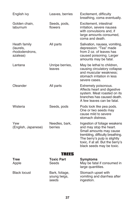| English ivy                                             | Leaves, berries                         | Excitement, difficulty<br>breathing, coma eventually.                                                                                                                                                                    |
|---------------------------------------------------------|-----------------------------------------|--------------------------------------------------------------------------------------------------------------------------------------------------------------------------------------------------------------------------|
| Golden chain,<br>laburnum                               | Seeds, pods,<br>flowers                 | Excitement, intestinal<br>irritation, severe nausea<br>with convulsions and, if<br>large amounts consumed,<br>coma and death.                                                                                            |
| Heath family<br>(laurels,<br>rhododendrons,<br>azaleas) | All parts                               | Salivation, nausea, vomiting,<br>depression. "Tea" made<br>from 2 oz. of leaves has<br>caused poisoning. Larger<br>amounts may be fatal.                                                                                 |
| Lantana                                                 | Unripe berries,<br>leaves               | May be lethal to children,<br>causing circulatory collapse<br>and muscular weakness;<br>stomach irritation in less<br>severe cases.                                                                                      |
| Oleander                                                | All parts                               | Extremely poisonous.<br>Affects heart and digestive<br>system. Meat roasted on its<br>branches has caused death.<br>A few leaves can be fatal.                                                                           |
| Wisteria                                                | Seeds, pods                             | Pods look like pea pods.<br>One or two seeds may<br>cause mild to severe<br>stomach distress.                                                                                                                            |
| Yew<br>(English, Japanese)                              | Needles, bark,<br>berries               | Ingestion of foliage weakens<br>and may stop the heart.<br>Small amounts may cause<br>trembling, difficulty breathing.<br>The berry's pulp is slightly<br>toxic, if at all. But the berry's<br>black seeds may be toxic. |
|                                                         | TREES                                   |                                                                                                                                                                                                                          |
| <b>Tree</b><br>Apple                                    | <b>Toxic Part</b><br>Seeds              | <b>Symptoms</b><br>May be fatal if consumed in<br>large quantities.                                                                                                                                                      |
| <b>Black locust</b>                                     | Bark, foliage,<br>young twigs,<br>seeds | Stomach upset with<br>vomiting and diarrhea after<br>ingestion.                                                                                                                                                          |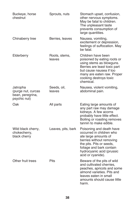| Buckeye, horse<br>chestnut                                         | Sprouts, nuts           | Stomach upset, confusion,<br>other nervous symptoms.<br>May be fatal to children.<br>The unpleasant taste<br>prevents consumption of<br>large quantities.                                                          |
|--------------------------------------------------------------------|-------------------------|--------------------------------------------------------------------------------------------------------------------------------------------------------------------------------------------------------------------|
| Chinaberry tree                                                    | Berries, leaves         | Nausea, vomiting,<br>excitement or depression,<br>feelings of suffocation. May<br>be fatal.                                                                                                                        |
| Elderberry                                                         | Roots, stems,<br>leaves | Children have been<br>poisoned by eating roots or<br>using stems as blowguns.<br>Berries are least toxic part<br>but cause nausea if too<br>many are eaten raw. Proper<br>cooking destroys toxic<br>chemical.      |
| Jatropha<br>(purge nut, curcas<br>bean, peregrina,<br>psychic nut) | Seeds, oil,<br>leaves   | Nausea, violent vomiting,<br>abdominal pain.                                                                                                                                                                       |
| Oak                                                                | All parts               | Eating large amounts of<br>any part raw may damage<br>kidneys. A few acorns<br>probably have little effect.<br>Boiling or roasting removes<br>tannin to make edible.                                               |
| Wild black cherry,<br>chokecherry,<br>black cherry                 | Leaves, pits, bark      | Poisoning and death have<br>occurred in children who<br>ate large amounts of<br>berries without removing<br>the pits. Pits or seeds,<br>foliage and bark contain<br>hydrocyanic acid (prussic<br>acid or cyanide). |
| Other fruit trees                                                  | Pits                    | Beware of the pits of wild<br>and cultivated cherries,<br>peaches, apricots and some<br>almond varieties. Pits and<br>leaves eaten in small<br>amounts should cause little<br>harm.                                |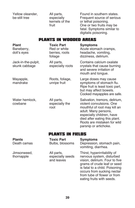Yellow oleander, All parts, Found in southern states.<br>
Se-still tree especially Frequent source of seriou especially Frequent source of serious<br>
kernels of the creater and poisoning. or lethal poisoning. fruit One or two fruits may be fatal. Symptoms similar to digitalis poisoning.

#### PLANTS IN WooDED AREAS

**Plant Toxic Part Symptoms** Baneberry, Red or white Acute stomach cramps, doll's eyes berries, roots headache, vomiting, foliage dizziness, delirium. Jack-in-the-pulpit, All parts, Contains calcium oxalate crystals that cause burning and severe irritation of mouth and tongue. Mayapple, Roots, foliage, Large doses may cause mandrake unripe fruit symptoms of stomach flu. Ripe fruit is least toxic part, but may affect bowels. Cooked mayapples are safe. Water hemlock, All parts, Salivation, tremors, delirium, cowbane especially the violent convulsions. One root mouthful of root may kill an adult. Many persons, especially children, have died after eating this plant. Roots are mistaken for wild parsnip or artichoke.

#### PLANTS IN FIELDS

**Plants Toxic Part Symptoms** Death camas **Bulbs, blossoms** Depression, stomach pain, vomiting, diarrhea. Jimsonweed, All parts, Thirst, hyperirritability of thornapple especially seeds nervous system, disturbed<br>and leaves vision, delirium. Four to five vision, delirium. Four to five grams of crude leaf or seed is fatal to a child. Poisoning occurs from sucking nectar from tube of flower or from eating fruits with seeds.